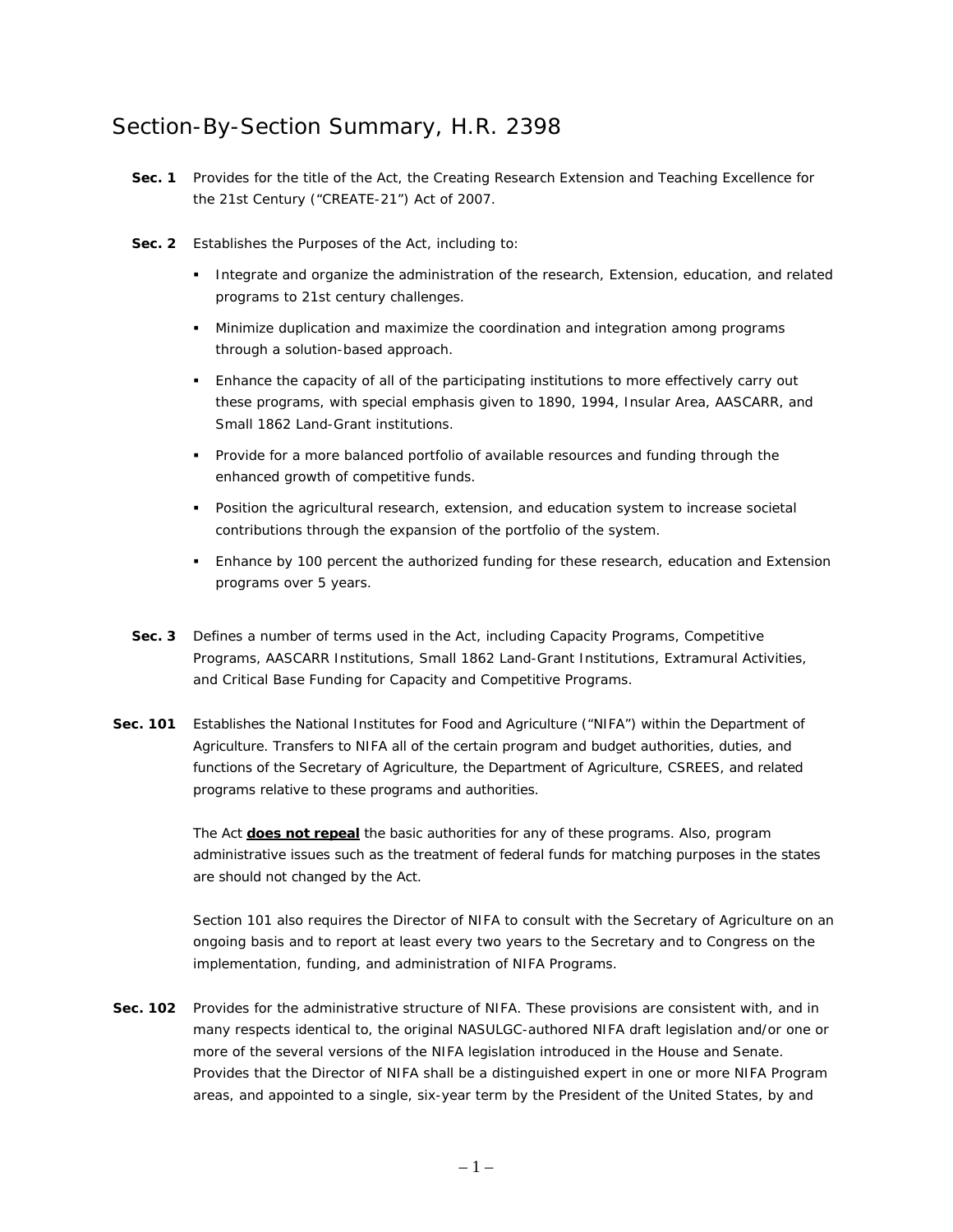## Section-By-Section Summary, H.R. 2398

- **Sec. 1** Provides for the title of the Act, the Creating Research Extension and Teaching Excellence for the 21st Century ("CREATE-21") Act of 2007.
- **Sec. 2** Establishes the Purposes of the Act, including to:
	- **Integrate and organize the administration of the research, Extension, education, and related** programs to 21st century challenges.
	- Minimize duplication and maximize the coordination and integration among programs through a solution-based approach.
	- Enhance the capacity of all of the participating institutions to more effectively carry out these programs, with special emphasis given to 1890, 1994, Insular Area, AASCARR, and Small 1862 Land-Grant institutions.
	- **Provide for a more balanced portfolio of available resources and funding through the** enhanced growth of competitive funds.
	- **Position the agricultural research, extension, and education system to increase societal** contributions through the expansion of the portfolio of the system.
	- Enhance by 100 percent the authorized funding for these research, education and Extension programs over 5 years.
- **Sec. 3** Defines a number of terms used in the Act, including Capacity Programs, Competitive Programs, AASCARR Institutions, Small 1862 Land-Grant Institutions, Extramural Activities, and Critical Base Funding for Capacity and Competitive Programs.
- **Sec. 101** Establishes the National Institutes for Food and Agriculture ("NIFA") within the Department of Agriculture. Transfers to NIFA all of the certain program and budget authorities, duties, and functions of the Secretary of Agriculture, the Department of Agriculture, CSREES, and related programs relative to these programs and authorities.

The Act **does not repeal** the basic authorities for any of these programs. Also, program administrative issues such as the treatment of federal funds for matching purposes in the states are should not changed by the Act.

Section 101 also requires the Director of NIFA to consult with the Secretary of Agriculture on an ongoing basis and to report at least every two years to the Secretary and to Congress on the implementation, funding, and administration of NIFA Programs.

Sec. 102 Provides for the administrative structure of NIFA. These provisions are consistent with, and in many respects identical to, the original NASULGC-authored NIFA draft legislation and/or one or more of the several versions of the NIFA legislation introduced in the House and Senate. Provides that the Director of NIFA shall be a distinguished expert in one or more NIFA Program areas, and appointed to a single, six-year term by the President of the United States, by and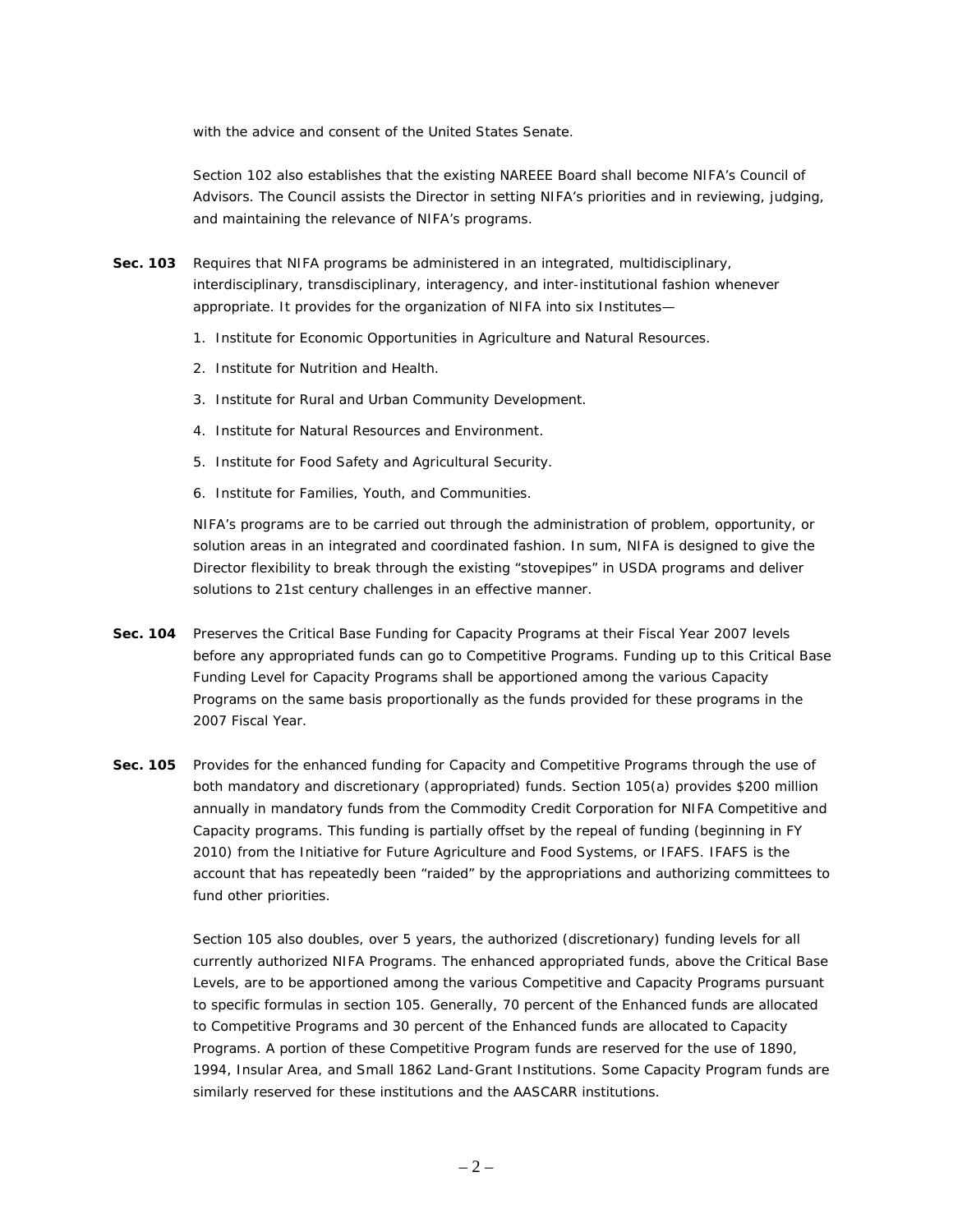with the advice and consent of the United States Senate.

Section 102 also establishes that the existing NAREEE Board shall become NIFA's Council of Advisors. The Council assists the Director in setting NIFA's priorities and in reviewing, judging, and maintaining the relevance of NIFA's programs.

- **Sec. 103** Requires that NIFA programs be administered in an integrated, multidisciplinary, interdisciplinary, transdisciplinary, interagency, and inter-institutional fashion whenever appropriate. It provides for the organization of NIFA into six Institutes—
	- 1. Institute for Economic Opportunities in Agriculture and Natural Resources.
	- 2. Institute for Nutrition and Health.
	- 3. Institute for Rural and Urban Community Development.
	- 4. Institute for Natural Resources and Environment.
	- 5. Institute for Food Safety and Agricultural Security.
	- 6. Institute for Families, Youth, and Communities.

NIFA's programs are to be carried out through the administration of problem, opportunity, or solution areas in an integrated and coordinated fashion. In sum, NIFA is designed to give the Director flexibility to break through the existing "stovepipes" in USDA programs and deliver solutions to 21st century challenges in an effective manner.

- **Sec. 104** Preserves the Critical Base Funding for Capacity Programs at their Fiscal Year 2007 levels before any appropriated funds can go to Competitive Programs. Funding up to this Critical Base Funding Level for Capacity Programs shall be apportioned among the various Capacity Programs on the same basis proportionally as the funds provided for these programs in the 2007 Fiscal Year.
- **Sec. 105** Provides for the enhanced funding for Capacity and Competitive Programs through the use of both mandatory and discretionary (appropriated) funds. Section 105(a) provides \$200 million annually in mandatory funds from the Commodity Credit Corporation for NIFA Competitive and Capacity programs. This funding is partially offset by the repeal of funding (beginning in FY 2010) from the Initiative for Future Agriculture and Food Systems, or IFAFS. IFAFS is the account that has repeatedly been "raided" by the appropriations and authorizing committees to fund other priorities.

Section 105 also doubles, over 5 years, the authorized (discretionary) funding levels for all currently authorized NIFA Programs. The enhanced appropriated funds, above the Critical Base Levels, are to be apportioned among the various Competitive and Capacity Programs pursuant to specific formulas in section 105. Generally, 70 percent of the Enhanced funds are allocated to Competitive Programs and 30 percent of the Enhanced funds are allocated to Capacity Programs. A portion of these Competitive Program funds are reserved for the use of 1890, 1994, Insular Area, and Small 1862 Land-Grant Institutions. Some Capacity Program funds are similarly reserved for these institutions and the AASCARR institutions.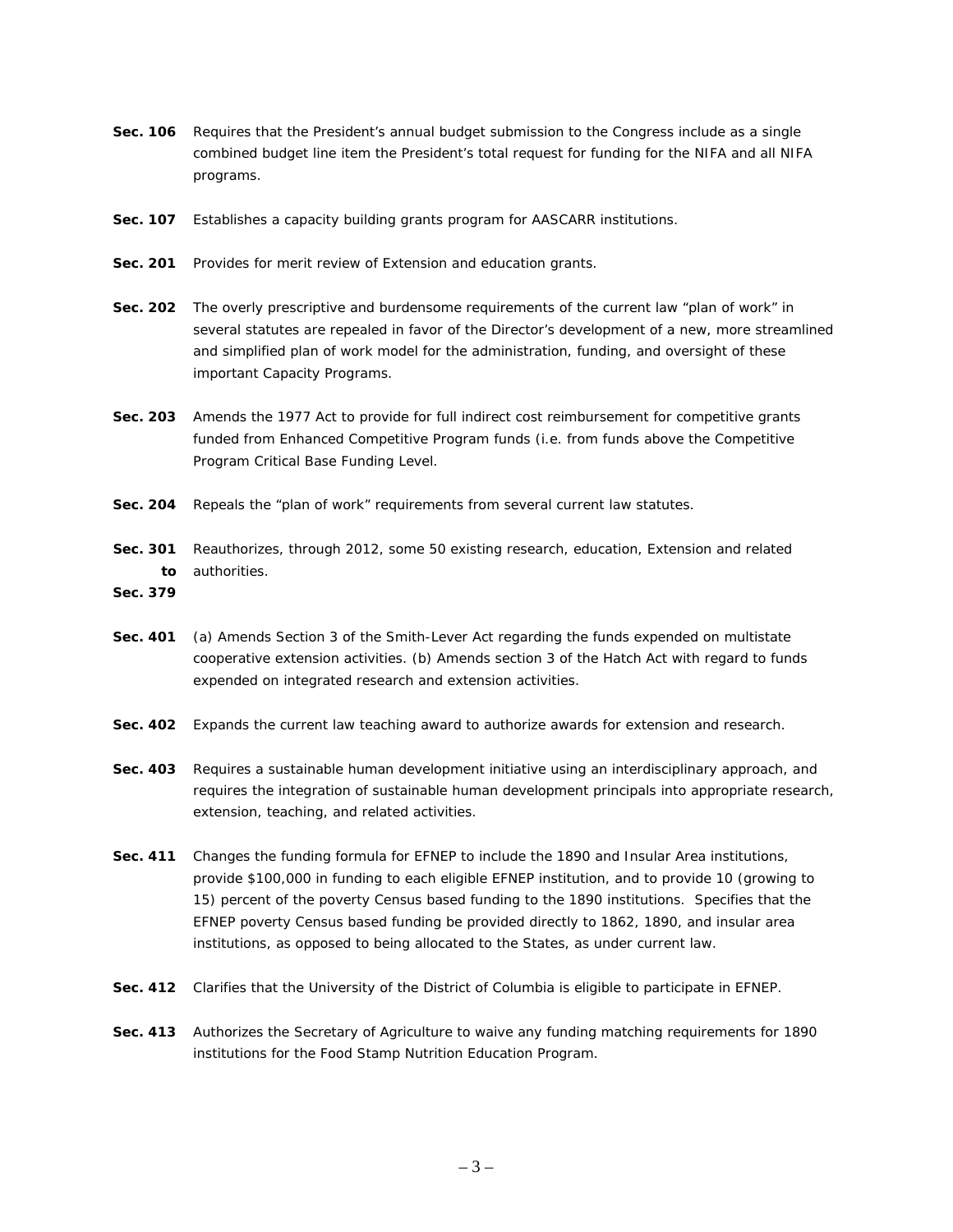- **Sec. 106** Requires that the President's annual budget submission to the Congress include as a single combined budget line item the President's total request for funding for the NIFA and all NIFA programs.
- **Sec. 107** Establishes a capacity building grants program for AASCARR institutions.
- **Sec. 201** Provides for merit review of Extension and education grants.
- **Sec. 202** The overly prescriptive and burdensome requirements of the current law "plan of work" in several statutes are repealed in favor of the Director's development of a new, more streamlined and simplified plan of work model for the administration, funding, and oversight of these important Capacity Programs.
- **Sec. 203** Amends the 1977 Act to provide for full indirect cost reimbursement for competitive grants funded from Enhanced Competitive Program funds (i.e. from funds above the Competitive Program Critical Base Funding Level.
- **Sec. 204** Repeals the "plan of work" requirements from several current law statutes.
- Sec. 301 Reauthorizes, through 2012, some 50 existing research, education, Extension and related **to**  authorities.

**Sec. 379** 

- **Sec. 401** (a) Amends Section 3 of the Smith-Lever Act regarding the funds expended on multistate cooperative extension activities. (b) Amends section 3 of the Hatch Act with regard to funds expended on integrated research and extension activities.
- **Sec. 402** Expands the current law teaching award to authorize awards for extension and research.
- **Sec. 403** Requires a sustainable human development initiative using an interdisciplinary approach, and requires the integration of sustainable human development principals into appropriate research, extension, teaching, and related activities.
- **Sec. 411** Changes the funding formula for EFNEP to include the 1890 and Insular Area institutions, provide \$100,000 in funding to each eligible EFNEP institution, and to provide 10 (growing to 15) percent of the poverty Census based funding to the 1890 institutions. Specifies that the EFNEP poverty Census based funding be provided directly to 1862, 1890, and insular area institutions, as opposed to being allocated to the States, as under current law.
- **Sec. 412** Clarifies that the University of the District of Columbia is eligible to participate in EFNEP.
- **Sec. 413** Authorizes the Secretary of Agriculture to waive any funding matching requirements for 1890 institutions for the Food Stamp Nutrition Education Program.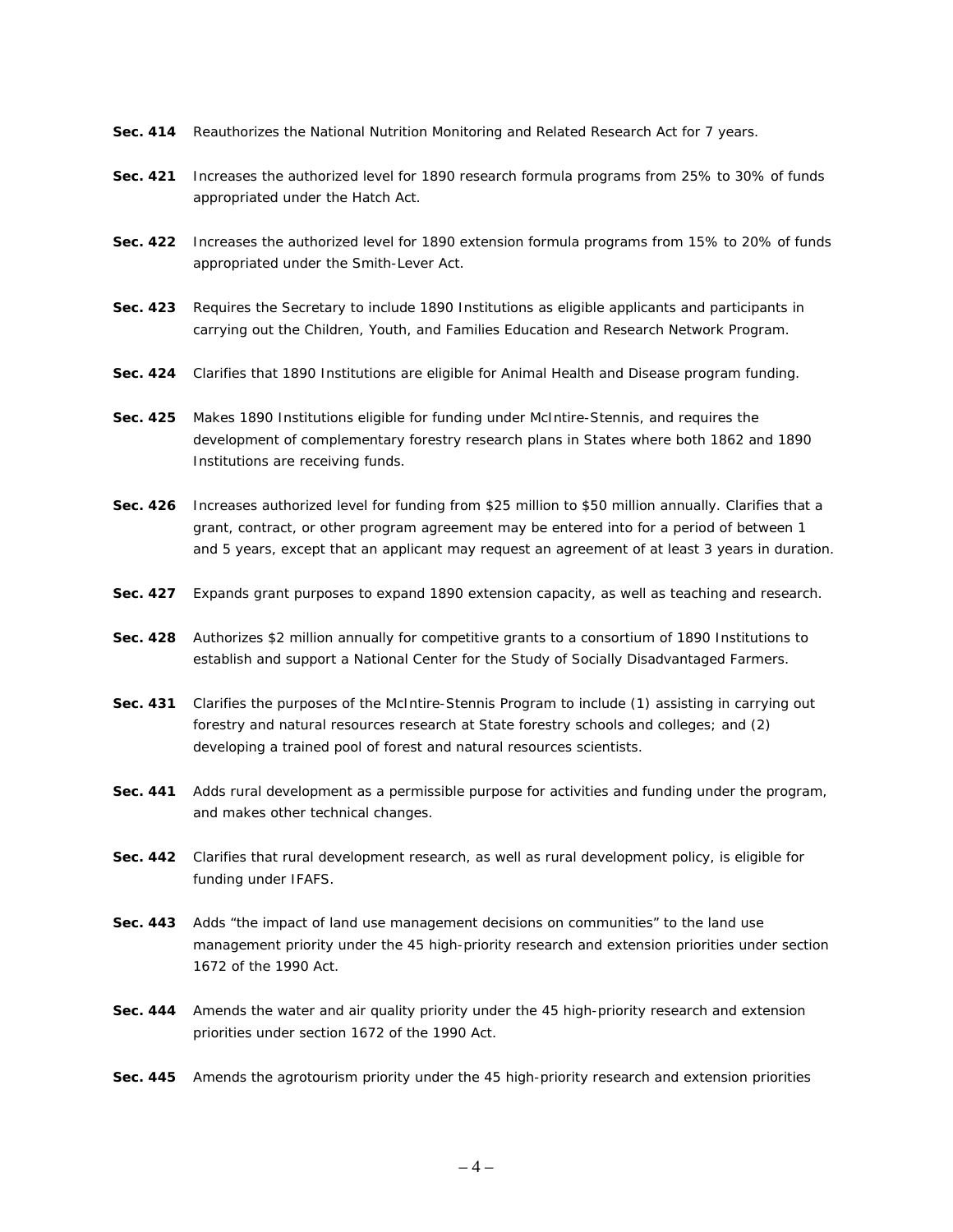- **Sec. 414** Reauthorizes the National Nutrition Monitoring and Related Research Act for 7 years.
- **Sec. 421** Increases the authorized level for 1890 research formula programs from 25% to 30% of funds appropriated under the Hatch Act.
- **Sec. 422** Increases the authorized level for 1890 extension formula programs from 15% to 20% of funds appropriated under the Smith-Lever Act.
- **Sec. 423** Requires the Secretary to include 1890 Institutions as eligible applicants and participants in carrying out the Children, Youth, and Families Education and Research Network Program.
- **Sec. 424** Clarifies that 1890 Institutions are eligible for Animal Health and Disease program funding.
- **Sec. 425** Makes 1890 Institutions eligible for funding under McIntire-Stennis, and requires the development of complementary forestry research plans in States where both 1862 and 1890 Institutions are receiving funds.
- **Sec. 426** Increases authorized level for funding from \$25 million to \$50 million annually. Clarifies that a grant, contract, or other program agreement may be entered into for a period of between 1 and 5 years, except that an applicant may request an agreement of at least 3 years in duration.
- **Sec. 427** Expands grant purposes to expand 1890 extension capacity, as well as teaching and research.
- **Sec. 428** Authorizes \$2 million annually for competitive grants to a consortium of 1890 Institutions to establish and support a National Center for the Study of Socially Disadvantaged Farmers.
- **Sec. 431** Clarifies the purposes of the McIntire-Stennis Program to include (1) assisting in carrying out forestry and natural resources research at State forestry schools and colleges; and (2) developing a trained pool of forest and natural resources scientists.
- **Sec. 441** Adds rural development as a permissible purpose for activities and funding under the program, and makes other technical changes.
- **Sec. 442** Clarifies that rural development research, as well as rural development policy, is eligible for funding under IFAFS.
- **Sec. 443** Adds "the impact of land use management decisions on communities" to the land use management priority under the 45 high-priority research and extension priorities under section 1672 of the 1990 Act.
- **Sec. 444** Amends the water and air quality priority under the 45 high-priority research and extension priorities under section 1672 of the 1990 Act.
- **Sec. 445** Amends the agrotourism priority under the 45 high-priority research and extension priorities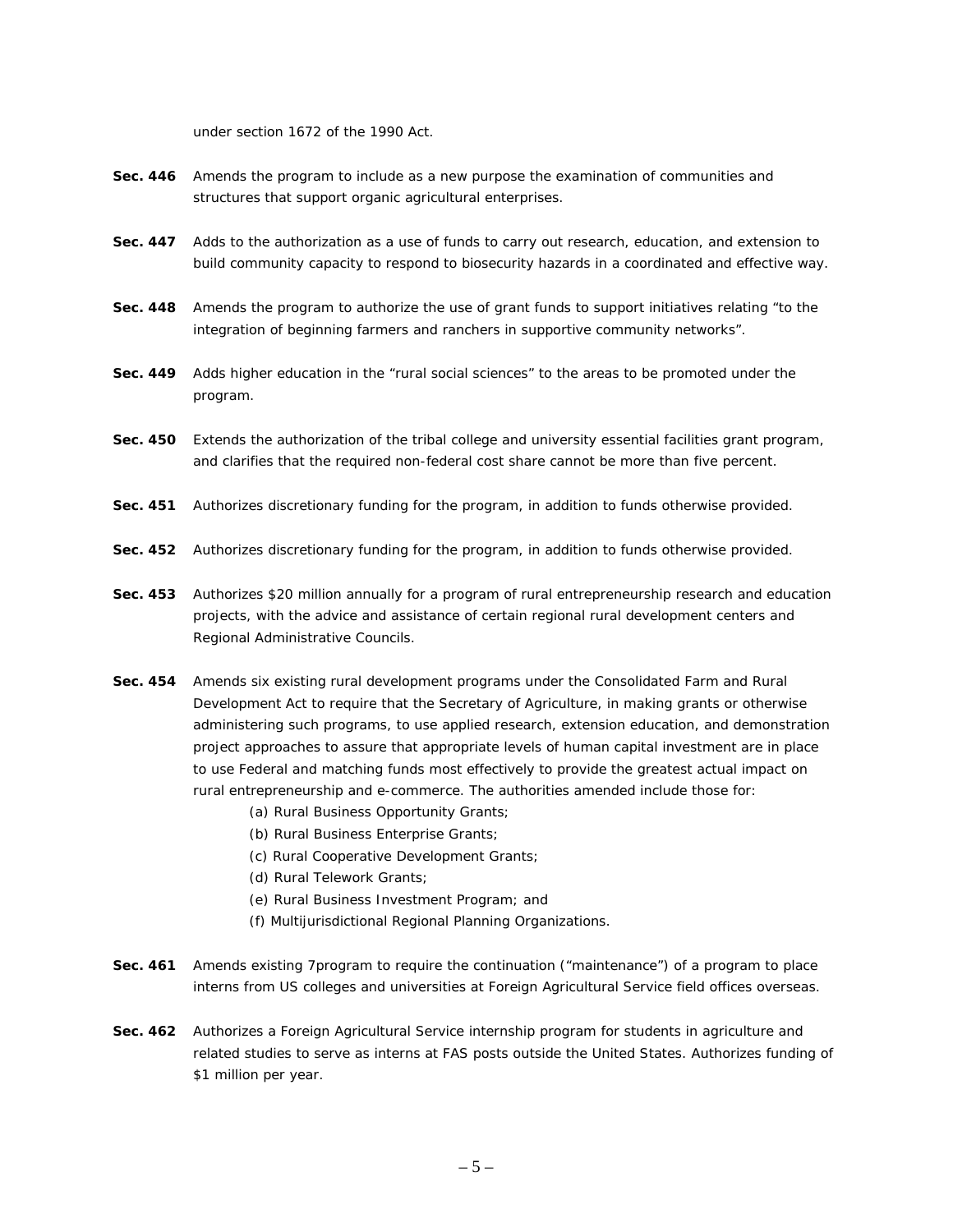under section 1672 of the 1990 Act.

- **Sec. 446** Amends the program to include as a new purpose the examination of communities and structures that support organic agricultural enterprises.
- **Sec. 447** Adds to the authorization as a use of funds to carry out research, education, and extension to build community capacity to respond to biosecurity hazards in a coordinated and effective way.
- **Sec. 448** Amends the program to authorize the use of grant funds to support initiatives relating "to the integration of beginning farmers and ranchers in supportive community networks".
- **Sec. 449** Adds higher education in the "rural social sciences" to the areas to be promoted under the program.
- **Sec. 450** Extends the authorization of the tribal college and university essential facilities grant program, and clarifies that the required non-federal cost share cannot be more than five percent.
- **Sec. 451** Authorizes discretionary funding for the program, in addition to funds otherwise provided.
- **Sec. 452** Authorizes discretionary funding for the program, in addition to funds otherwise provided.
- **Sec. 453** Authorizes \$20 million annually for a program of rural entrepreneurship research and education projects, with the advice and assistance of certain regional rural development centers and Regional Administrative Councils.
- **Sec. 454** Amends six existing rural development programs under the Consolidated Farm and Rural Development Act to require that the Secretary of Agriculture, in making grants or otherwise administering such programs, to use applied research, extension education, and demonstration project approaches to assure that appropriate levels of human capital investment are in place to use Federal and matching funds most effectively to provide the greatest actual impact on rural entrepreneurship and e-commerce. The authorities amended include those for:
	- (a) Rural Business Opportunity Grants;
	- (b) Rural Business Enterprise Grants;
	- (c) Rural Cooperative Development Grants;
	- (d) Rural Telework Grants;
	- (e) Rural Business Investment Program; and
	- (f) Multijurisdictional Regional Planning Organizations.
- **Sec. 461** Amends existing 7program to require the continuation ("maintenance") of a program to place interns from US colleges and universities at Foreign Agricultural Service field offices overseas.
- **Sec. 462** Authorizes a Foreign Agricultural Service internship program for students in agriculture and related studies to serve as interns at FAS posts outside the United States. Authorizes funding of \$1 million per year.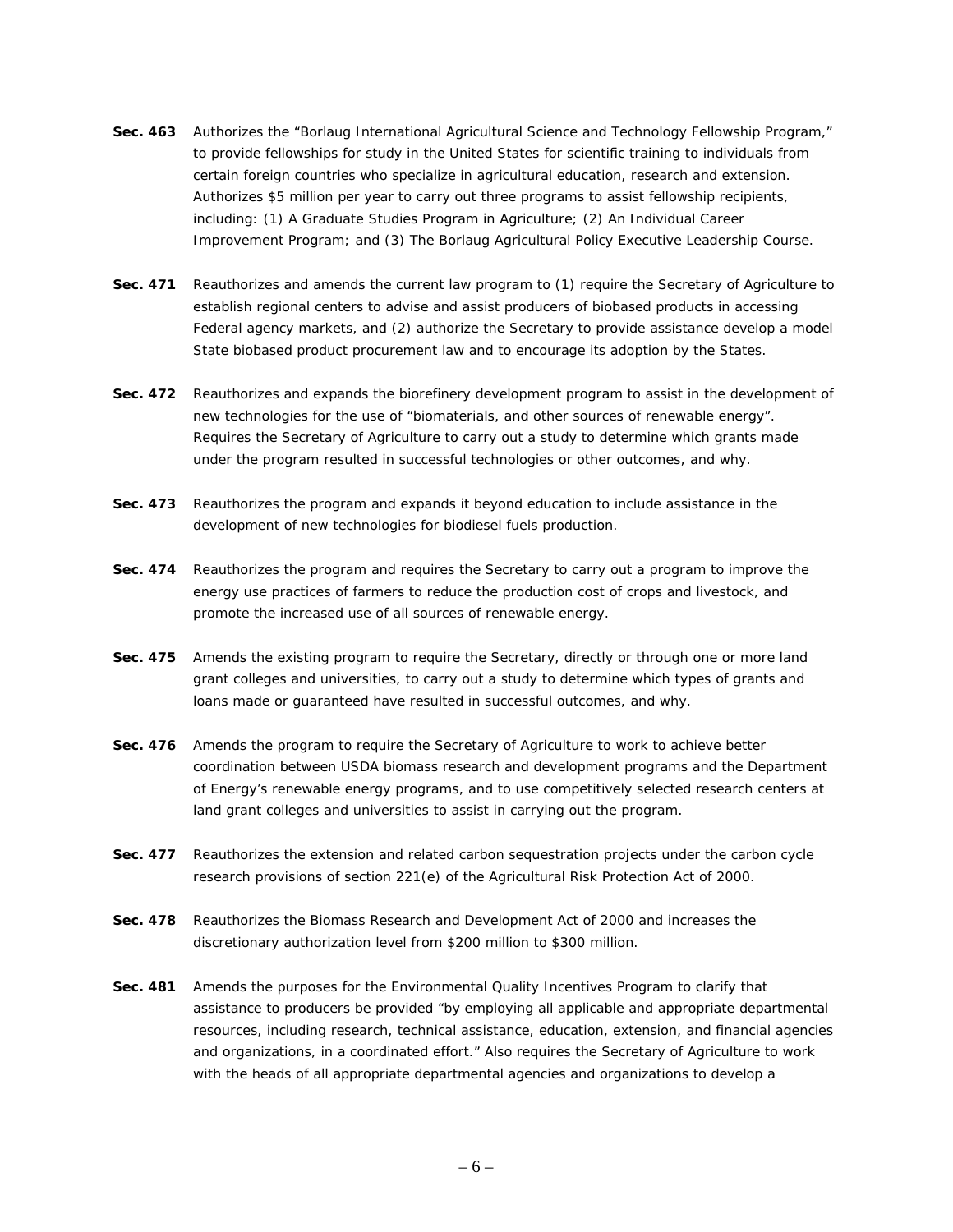- **Sec. 463** Authorizes the "Borlaug International Agricultural Science and Technology Fellowship Program," to provide fellowships for study in the United States for scientific training to individuals from certain foreign countries who specialize in agricultural education, research and extension. Authorizes \$5 million per year to carry out three programs to assist fellowship recipients, including: (1) A Graduate Studies Program in Agriculture; (2) An Individual Career Improvement Program; and (3) The Borlaug Agricultural Policy Executive Leadership Course.
- **Sec. 471** Reauthorizes and amends the current law program to (1) require the Secretary of Agriculture to establish regional centers to advise and assist producers of biobased products in accessing Federal agency markets, and (2) authorize the Secretary to provide assistance develop a model State biobased product procurement law and to encourage its adoption by the States.
- **Sec. 472** Reauthorizes and expands the biorefinery development program to assist in the development of new technologies for the use of "biomaterials, and other sources of renewable energy". Requires the Secretary of Agriculture to carry out a study to determine which grants made under the program resulted in successful technologies or other outcomes, and why.
- **Sec. 473** Reauthorizes the program and expands it beyond education to include assistance in the development of new technologies for biodiesel fuels production.
- **Sec. 474** Reauthorizes the program and requires the Secretary to carry out a program to improve the energy use practices of farmers to reduce the production cost of crops and livestock, and promote the increased use of all sources of renewable energy.
- **Sec. 475** Amends the existing program to require the Secretary, directly or through one or more land grant colleges and universities, to carry out a study to determine which types of grants and loans made or guaranteed have resulted in successful outcomes, and why.
- **Sec. 476** Amends the program to require the Secretary of Agriculture to work to achieve better coordination between USDA biomass research and development programs and the Department of Energy's renewable energy programs, and to use competitively selected research centers at land grant colleges and universities to assist in carrying out the program.
- **Sec. 477** Reauthorizes the extension and related carbon sequestration projects under the carbon cycle research provisions of section 221(e) of the Agricultural Risk Protection Act of 2000.
- **Sec. 478** Reauthorizes the Biomass Research and Development Act of 2000 and increases the discretionary authorization level from \$200 million to \$300 million.
- **Sec. 481** Amends the purposes for the Environmental Quality Incentives Program to clarify that assistance to producers be provided "by employing all applicable and appropriate departmental resources, including research, technical assistance, education, extension, and financial agencies and organizations, in a coordinated effort." Also requires the Secretary of Agriculture to work with the heads of all appropriate departmental agencies and organizations to develop a